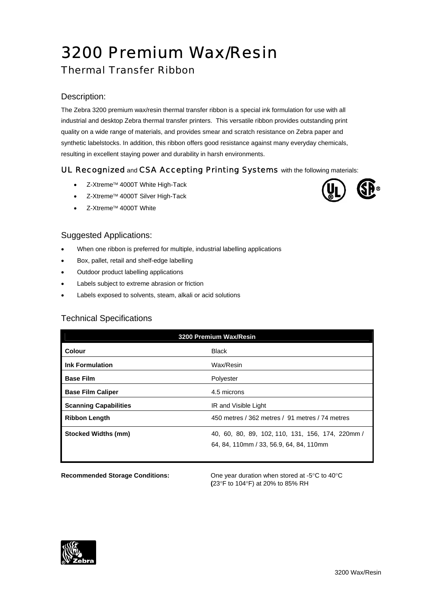# 3200 Premium Wax/Resin

## Thermal Transfer Ribbon

### Description:

The Zebra 3200 premium wax/resin thermal transfer ribbon is a special ink formulation for use with all industrial and desktop Zebra thermal transfer printers. This versatile ribbon provides outstanding print quality on a wide range of materials, and provides smear and scratch resistance on Zebra paper and synthetic labelstocks. In addition, this ribbon offers good resistance against many everyday chemicals, resulting in excellent staying power and durability in harsh environments.

#### UL Recognized and CSA Accepting Printing Systems with the following materials:

- Z-Xtreme™ 4000T White High-Tack
- Z-Xtreme™ 4000T Silver High-Tack
- Z-Xtreme™ 4000T White

#### Suggested Applications:

- When one ribbon is preferred for multiple, industrial labelling applications
- Box, pallet, retail and shelf-edge labelling
- Outdoor product labelling applications
- Labels subject to extreme abrasion or friction
- Labels exposed to solvents, steam, alkali or acid solutions

#### Technical Specifications

| 3200 Premium Wax/Resin       |                                                                                             |  |
|------------------------------|---------------------------------------------------------------------------------------------|--|
| Colour                       | <b>Black</b>                                                                                |  |
| <b>Ink Formulation</b>       | Wax/Resin                                                                                   |  |
| <b>Base Film</b>             | Polyester                                                                                   |  |
| <b>Base Film Caliper</b>     | 4.5 microns                                                                                 |  |
| <b>Scanning Capabilities</b> | IR and Visible Light                                                                        |  |
| <b>Ribbon Length</b>         | 450 metres / 362 metres / 91 metres / 74 metres                                             |  |
| <b>Stocked Widths (mm)</b>   | 40, 60, 80, 89, 102, 110, 131, 156, 174, 220mm /<br>64, 84, 110mm / 33, 56.9, 64, 84, 110mm |  |

**Recommended Storage Conditions:** One year duration when stored at -5°C to 40°C **(**23°F to 104°F) at 20% to 85% RH